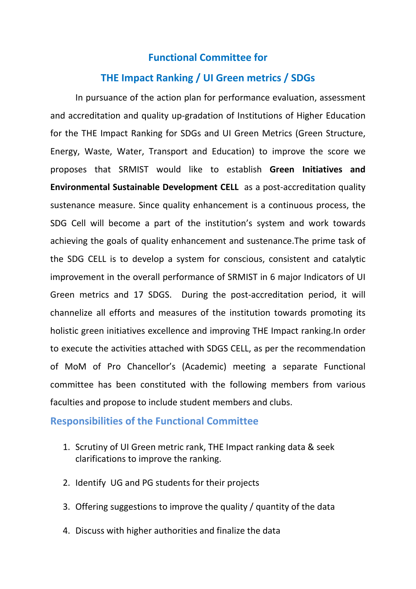## **Functional Committee for**

## **THE Impact Ranking / UI Green metrics / SDGs**

In pursuance of the action plan for performance evaluation, assessment and accreditation and quality up-gradation of Institutions of Higher Education for the THE Impact Ranking for SDGs and UI Green Metrics (Green Structure, Energy, Waste, Water, Transport and Education) to improve the score we proposes that SRMIST would like to establish **Green Initiatives and Environmental Sustainable Development CELL** as a post-accreditation quality sustenance measure. Since quality enhancement is a continuous process, the SDG Cell will become a part of the institution's system and work towards achieving the goals of quality enhancement and sustenance.The prime task of the SDG CELL is to develop a system for conscious, consistent and catalytic improvement in the overall performance of SRMIST in 6 major Indicators of UI Green metrics and 17 SDGS. During the post-accreditation period, it will channelize all efforts and measures of the institution towards promoting its holistic green initiatives excellence and improving THE Impact ranking.In order to execute the activities attached with SDGS CELL, as per the recommendation of MoM of Pro Chancellor's (Academic) meeting a separate Functional committee has been constituted with the following members from various faculties and propose to include student members and clubs.

## **Responsibilities of the Functional Committee**

- 1. Scrutiny of UI Green metric rank, THE Impact ranking data & seek clarifications to improve the ranking.
- 2. Identify UG and PG students for their projects
- 3. Offering suggestions to improve the quality / quantity of the data
- 4. Discuss with higher authorities and finalize the data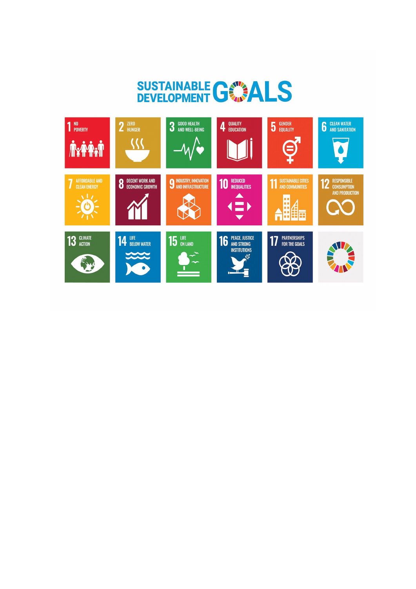## SUSTAINABLE GANALS

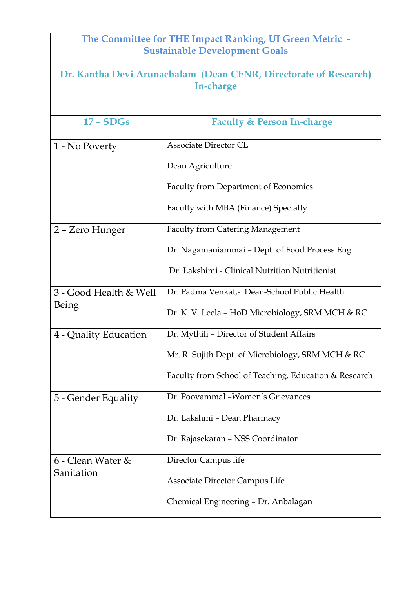| The Committee for THE Impact Ranking, UI Green Metric -<br><b>Sustainable Development Goals</b> |                                                       |  |
|-------------------------------------------------------------------------------------------------|-------------------------------------------------------|--|
| Dr. Kantha Devi Arunachalam (Dean CENR, Directorate of Research)<br>In-charge                   |                                                       |  |
| $17 - SDGs$                                                                                     | <b>Faculty &amp; Person In-charge</b>                 |  |
| 1 - No Poverty                                                                                  | <b>Associate Director CL</b>                          |  |
|                                                                                                 | Dean Agriculture                                      |  |
|                                                                                                 | Faculty from Department of Economics                  |  |
|                                                                                                 | Faculty with MBA (Finance) Specialty                  |  |
| 2 - Zero Hunger                                                                                 | <b>Faculty from Catering Management</b>               |  |
|                                                                                                 | Dr. Nagamaniammai – Dept. of Food Process Eng         |  |
|                                                                                                 | Dr. Lakshimi - Clinical Nutrition Nutritionist        |  |
| 3 - Good Health & Well<br>Being                                                                 | Dr. Padma Venkat,- Dean-School Public Health          |  |
|                                                                                                 | Dr. K. V. Leela - HoD Microbiology, SRM MCH & RC      |  |
| 4 - Quality Education                                                                           | Dr. Mythili - Director of Student Affairs             |  |
|                                                                                                 | Mr. R. Sujith Dept. of Microbiology, SRM MCH & RC     |  |
|                                                                                                 | Faculty from School of Teaching. Education & Research |  |
| 5 - Gender Equality                                                                             | Dr. Poovammal - Women's Grievances                    |  |
|                                                                                                 | Dr. Lakshmi - Dean Pharmacy                           |  |
|                                                                                                 | Dr. Rajasekaran – NSS Coordinator                     |  |
| 6 - Clean Water &<br>Sanitation                                                                 | Director Campus life                                  |  |
|                                                                                                 | Associate Director Campus Life                        |  |
|                                                                                                 | Chemical Engineering - Dr. Anbalagan                  |  |